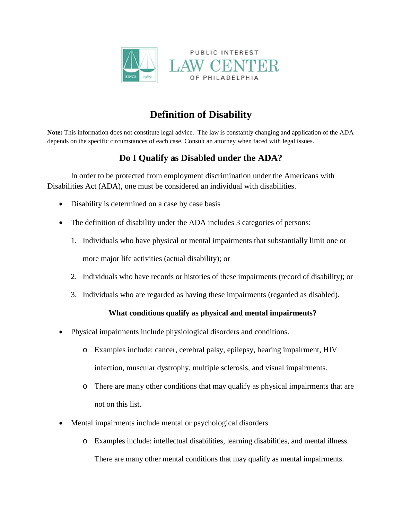

# **Definition of Disability**

**Note:** This information does not constitute legal advice. The law is constantly changing and application of the ADA depends on the specific circumstances of each case. Consult an attorney when faced with legal issues.

# **Do I Qualify as Disabled under the ADA?**

In order to be protected from employment discrimination under the Americans with Disabilities Act (ADA), one must be considered an individual with disabilities.

- Disability is determined on a case by case basis
- The definition of disability under the ADA includes 3 categories of persons:
	- 1. Individuals who have physical or mental impairments that substantially limit one or more major life activities (actual disability); or
	- 2. Individuals who have records or histories of these impairments (record of disability); or
	- 3. Individuals who are regarded as having these impairments (regarded as disabled).

### **What conditions qualify as physical and mental impairments?**

- Physical impairments include physiological disorders and conditions.
	- o Examples include: cancer, cerebral palsy, epilepsy, hearing impairment, HIV infection, muscular dystrophy, multiple sclerosis, and visual impairments.
	- o There are many other conditions that may qualify as physical impairments that are not on this list.
- Mental impairments include mental or psychological disorders.
	- o Examples include: intellectual disabilities, learning disabilities, and mental illness. There are many other mental conditions that may qualify as mental impairments.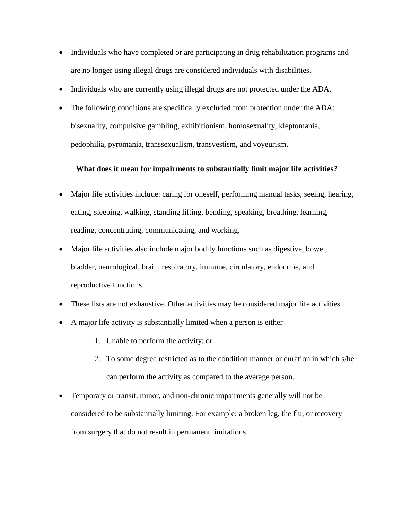- Individuals who have completed or are participating in drug rehabilitation programs and are no longer using illegal drugs are considered individuals with disabilities.
- Individuals who are currently using illegal drugs are not protected under the ADA.
- The following conditions are specifically excluded from protection under the ADA: bisexuality, compulsive gambling, exhibitionism, homosexuality, kleptomania, pedophilia, pyromania, transsexualism, transvestism, and voyeurism.

#### **What does it mean for impairments to substantially limit major life activities?**

- Major life activities include: caring for oneself, performing manual tasks, seeing, hearing, eating, sleeping, walking, standing lifting, bending, speaking, breathing, learning, reading, concentrating, communicating, and working.
- Major life activities also include major bodily functions such as digestive, bowel, bladder, neurological, brain, respiratory, immune, circulatory, endocrine, and reproductive functions.
- These lists are not exhaustive. Other activities may be considered major life activities.
- A major life activity is substantially limited when a person is either
	- 1. Unable to perform the activity; or
	- 2. To some degree restricted as to the condition manner or duration in which s/he can perform the activity as compared to the average person.
- Temporary or transit, minor, and non-chronic impairments generally will not be considered to be substantially limiting. For example: a broken leg, the flu, or recovery from surgery that do not result in permanent limitations.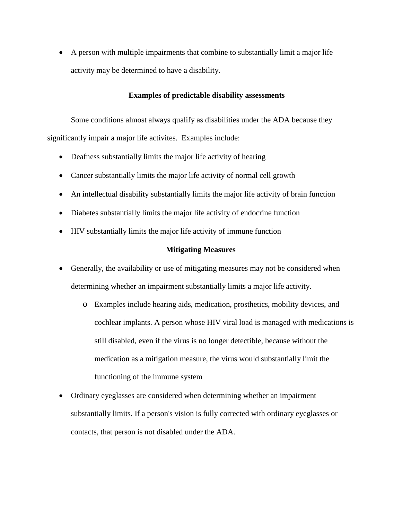• A person with multiple impairments that combine to substantially limit a major life activity may be determined to have a disability.

#### **Examples of predictable disability assessments**

Some conditions almost always qualify as disabilities under the ADA because they significantly impair a major life activites. Examples include:

- Deafness substantially limits the major life activity of hearing
- Cancer substantially limits the major life activity of normal cell growth
- An intellectual disability substantially limits the major life activity of brain function
- Diabetes substantially limits the major life activity of endocrine function
- HIV substantially limits the major life activity of immune function

#### **Mitigating Measures**

- Generally, the availability or use of mitigating measures may not be considered when determining whether an impairment substantially limits a major life activity.
	- o Examples include hearing aids, medication, prosthetics, mobility devices, and cochlear implants. A person whose HIV viral load is managed with medications is still disabled, even if the virus is no longer detectible, because without the medication as a mitigation measure, the virus would substantially limit the functioning of the immune system
- Ordinary eyeglasses are considered when determining whether an impairment substantially limits. If a person's vision is fully corrected with ordinary eyeglasses or contacts, that person is not disabled under the ADA.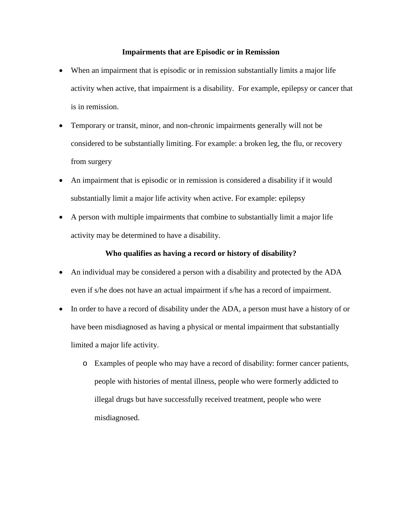#### **Impairments that are Episodic or in Remission**

- When an impairment that is episodic or in remission substantially limits a major life activity when active, that impairment is a disability. For example, epilepsy or cancer that is in remission.
- Temporary or transit, minor, and non-chronic impairments generally will not be considered to be substantially limiting. For example: a broken leg, the flu, or recovery from surgery
- An impairment that is episodic or in remission is considered a disability if it would substantially limit a major life activity when active. For example: epilepsy
- A person with multiple impairments that combine to substantially limit a major life activity may be determined to have a disability.

#### **Who qualifies as having a record or history of disability?**

- An individual may be considered a person with a disability and protected by the ADA even if s/he does not have an actual impairment if s/he has a record of impairment.
- In order to have a record of disability under the ADA, a person must have a history of or have been misdiagnosed as having a physical or mental impairment that substantially limited a major life activity.
	- o Examples of people who may have a record of disability: former cancer patients, people with histories of mental illness, people who were formerly addicted to illegal drugs but have successfully received treatment, people who were misdiagnosed.